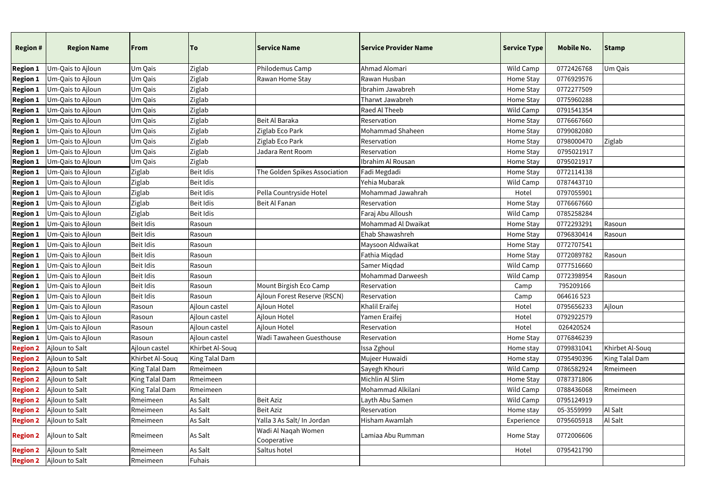| <b>Region #</b>            | <b>Region Name</b>                  | <b>From</b>      | To              | <b>Service Name</b>                | <b>Service Provider Name</b> | <b>Service Type</b> | <b>Mobile No.</b> | <b>Stamp</b>    |
|----------------------------|-------------------------------------|------------------|-----------------|------------------------------------|------------------------------|---------------------|-------------------|-----------------|
| <b>Region 1</b>            | Um-Qais to Ajloun                   | Um Qais          | Ziglab          | Philodemus Camp                    | Ahmad Alomari                | Wild Camp           | 0772426768        | Um Qais         |
| $\vert$ Region 1           | Um-Qais to Ajloun                   | Um Qais          | Ziglab          | Rawan Home Stay                    | Rawan Husban                 | Home Stay           | 0776929576        |                 |
| $\bm{\mathsf{Region}\,1}}$ | Um-Qais to Ajloun                   | Um Qais          | Ziglab          |                                    | Ibrahim Jawabreh             | Home Stay           | 0772277509        |                 |
| $\bm{\mathsf{Region}\,1}}$ | Um-Qais to Ajloun                   | Um Qais          | Ziglab          |                                    | Tharwt Jawabreh              | Home Stay           | 0775960288        |                 |
| <b>Region 1</b>            | Um-Qais to Ajloun                   | Um Qais          | Ziglab          |                                    | Raed Al Theeb                | Wild Camp           | 0791541354        |                 |
| $\bm{\mathsf{Region}\,1}}$ | Um-Qais to Ajloun                   | Um Qais          | Ziglab          | Beit Al Baraka                     | Reservation                  | Home Stay           | 0776667660        |                 |
| $\bm{\mathsf{Region}\,1}}$ | Um-Qais to Ajloun                   | Um Qais          | Ziglab          | Ziglab Eco Park                    | Mohammad Shaheen             | Home Stay           | 0799082080        |                 |
| $\bm{\mathsf{Region}\,1}}$ | Um-Qais to Ajloun                   | Um Qais          | Ziglab          | Ziglab Eco Park                    | Reservation                  | Home Stay           | 0798000470        | Ziglab          |
| <b>Region 1</b>            | Um-Qais to Ajloun                   | Um Qais          | Ziglab          | Jadara Rent Room                   | Reservation                  | Home Stay           | 0795021917        |                 |
| <b>Region 1</b>            | Um-Qais to Ajloun                   | Um Qais          | Ziglab          |                                    | Ibrahim Al Rousan            | Home Stay           | 0795021917        |                 |
| $ \mathsf{Region}\,1 $     | Um-Qais to Ajloun                   | Ziglab           | Beit Idis       | The Golden Spikes Association      | Fadi Megdadi                 | Home Stay           | 0772114138        |                 |
| $\vert$ Region 1           | Um-Qais to Ajloun                   | Ziglab           | Beit Idis       |                                    | Yehia Mubarak                | Wild Camp           | 0787443710        |                 |
| <b>Region 1</b>            | Um-Qais to Ajloun                   | Ziglab           | Beit Idis       | Pella Countryside Hotel            | Mohammad Jawahrah            | Hotel               | 0797055901        |                 |
| $\vert$ Region 1           | Um-Qais to Ajloun                   | Ziglab           | Beit Idis       | Beit Al Fanan                      | Reservation                  | Home Stay           | 0776667660        |                 |
| <b>Region 1</b>            | Um-Qais to Ajloun                   | Ziglab           | Beit Idis       |                                    | Faraj Abu Alloush            | Wild Camp           | 0785258284        |                 |
| $\vert$ Region 1           | Um-Qais to Ajloun                   | Beit Idis        | Rasoun          |                                    | Mohammad Al Dwaikat          | Home Stay           | 0772293291        | Rasoun          |
| $\bm{\mathsf{Region}\,1}}$ | Um-Qais to Ajloun                   | Beit Idis        | Rasoun          |                                    | Ehab Shawashreh              | Home Stay           | 0796830414        | Rasoun          |
| $\bm{\mathsf{Region}\,1}}$ | Um-Qais to Ajloun                   | Beit Idis        | Rasoun          |                                    | Maysoon Aldwaikat            | Home Stay           | 0772707541        |                 |
| $\bm{\mathsf{Region}\,1}}$ | Um-Qais to Ajloun                   | Beit Idis        | Rasoun          |                                    | Fathia Miqdad                | Home Stay           | 0772089782        | Rasoun          |
| <b>Region 1</b>            | Um-Qais to Ajloun                   | Beit Idis        | Rasoun          |                                    | Samer Miqdad                 | Wild Camp           | 0777516660        |                 |
| <b>Region 1</b>            | Um-Qais to Ajloun                   | Beit Idis        | Rasoun          |                                    | Mohammad Darweesh            | Wild Camp           | 0772398954        | Rasoun          |
| <b>Region 1</b>            | Um-Qais to Ajloun                   | Beit Idis        | Rasoun          | Mount Birgish Eco Camp             | Reservation                  | Camp                | 795209166         |                 |
|                            | <b>Region 1</b>   Um-Qais to Ajloun | <b>Beit Idis</b> | Rasoun          | Ajloun Forest Reserve (RSCN)       | Reservation                  | Camp                | 064616 523        |                 |
| <b>Region 1</b>            | Um-Qais to Ajloun                   | Rasoun           | Ajloun castel   | Ajloun Hotel                       | Khalil Eraifej               | Hotel               | 0795656233        | Ajloun          |
| <b>Region 1</b>            | Um-Qais to Ajloun                   | Rasoun           | Ajloun castel   | Ajloun Hotel                       | Yamen Eraifej                | Hotel               | 0792922579        |                 |
| $\vert$ Region 1           | Um-Qais to Ajloun                   | Rasoun           | Ajloun castel   | Ajloun Hotel                       | Reservation                  | Hotel               | 026420524         |                 |
| $ \mathsf{Region}\,1 $     | Um-Qais to Ajloun                   | Rasoun           | Ajloun castel   | Wadi Tawaheen Guesthouse           | Reservation                  | Home Stay           | 0776846239        |                 |
| <b>Region 2</b>            | Ajloun to Salt                      | Ajloun castel    | Khirbet Al-Souq |                                    | Issa Zghoul                  | Home stay           | 0799831041        | Khirbet Al-Souq |
| <b>Region 2</b>            | Ajloun to Salt                      | Khirbet Al-Souq  | King Talal Dam  |                                    | Mujeer Huwaidi               | Home stay           | 0795490396        | King Talal Dam  |
| <b>Region 2</b>            | Ajloun to Salt                      | King Talal Dam   | Rmeimeen        |                                    | Sayegh Khouri                | Wild Camp           | 0786582924        | Rmeimeen        |
| <b>Region 2</b>            | Ajloun to Salt                      | King Talal Dam   | Rmeimeen        |                                    | Michlin Al Slim              | Home Stay           | 0787371806        |                 |
|                            | <b>Region 2</b> Ajloun to Salt      | King Talal Dam   | Rmeimeen        |                                    | Mohammad Alkilani            | Wild Camp           | 0788436068        | Rmeimeen        |
|                            | <b>Region 2</b> Ajloun to Salt      | Rmeimeen         | As Salt         | Beit Aziz                          | Layth Abu Samen              | Wild Camp           | 0795124919        |                 |
|                            | <b>Region 2</b>   Ajloun to Salt    | Rmeimeen         | As Salt         | <b>Beit Aziz</b>                   | Reservation                  | Home stay           | 05-3559999        | Al Salt         |
| <b>Region 2</b>            | Ajloun to Salt                      | Rmeimeen         | As Salt         | Yalla 3 As Salt/ In Jordan         | Hisham Awamlah               | Experience          | 0795605918        | Al Salt         |
| <b>Region 2</b>            | Ajloun to Salt                      | Rmeimeen         | As Salt         | Wadi Al Naqah Women<br>Cooperative | Lamiaa Abu Rumman            | Home Stay           | 0772006606        |                 |
|                            | <b>Region 2</b> Ajloun to Salt      | Rmeimeen         | As Salt         | Saltus hotel                       |                              | Hotel               | 0795421790        |                 |
|                            | <b>Region 2</b>   Ajloun to Salt    | Rmeimeen         | Fuhais          |                                    |                              |                     |                   |                 |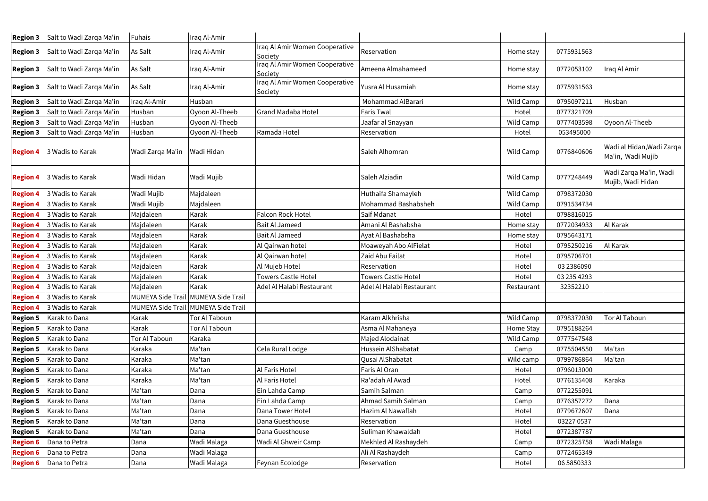| <b>Region 3</b> | Salt to Wadi Zarqa Ma'in         | Fuhais           | Iraq Al-Amir                        |                                           |                            |            |             |                                                |
|-----------------|----------------------------------|------------------|-------------------------------------|-------------------------------------------|----------------------------|------------|-------------|------------------------------------------------|
| <b>Region 3</b> | Salt to Wadi Zarqa Ma'in         | As Salt          | Iraq Al-Amir                        | Iraq Al Amir Women Cooperative<br>Society | Reservation                | Home stay  | 0775931563  |                                                |
| <b>Region 3</b> | Salt to Wadi Zarqa Ma'in         | As Salt          | Iraq Al-Amir                        | Iraq Al Amir Women Cooperative<br>Society | Ameena Almahameed          | Home stay  | 0772053102  | Iraq Al Amir                                   |
| <b>Region 3</b> | Salt to Wadi Zarqa Ma'in         | As Salt          | Iraq Al-Amir                        | Iraq Al Amir Women Cooperative<br>Society | Yusra Al Husamiah          | Home stay  | 0775931563  |                                                |
| <b>Region 3</b> | Salt to Wadi Zarqa Ma'in         | Iraq Al-Amir     | Husban                              |                                           | Mohammad AlBarari          | Wild Camp  | 0795097211  | Husban                                         |
| <b>Region 3</b> | Salt to Wadi Zarqa Ma'in         | Husban           | Oyoon Al-Theeb                      | <b>Grand Madaba Hotel</b>                 | Faris Twal                 | Hotel      | 0777321709  |                                                |
| <b>Region 3</b> | Salt to Wadi Zarqa Ma'in         | Husban           | Oyoon Al-Theeb                      |                                           | Jaafar al Snayyan          | Wild Camp  | 0777403598  | Oyoon Al-Theeb                                 |
| <b>Region 3</b> | Salt to Wadi Zarqa Ma'in         | Husban           | Oyoon Al-Theeb                      | Ramada Hotel                              | Reservation                | Hotel      | 053495000   |                                                |
| <b>Region 4</b> | 3 Wadis to Karak                 | Wadi Zarqa Ma'in | Wadi Hidan                          |                                           | Saleh Alhomran             | Wild Camp  | 0776840606  | Wadi al Hidan, Wadi Zarqa<br>Ma'in, Wadi Mujib |
| <b>Region 4</b> | 3 Wadis to Karak                 | Wadi Hidan       | Wadi Mujib                          |                                           | Saleh Alziadin             | Wild Camp  | 0777248449  | Wadi Zarqa Ma'in, Wadi<br>Mujib, Wadi Hidan    |
| <b>Region 4</b> | 3 Wadis to Karak                 | Wadi Mujib       | Majdaleen                           |                                           | Huthaifa Shamayleh         | Wild Camp  | 0798372030  |                                                |
| <b>Region 4</b> | 3 Wadis to Karak                 | Wadi Mujib       | Majdaleen                           |                                           | Mohammad Bashabsheh        | Wild Camp  | 0791534734  |                                                |
| <b>Region 4</b> | 3 Wadis to Karak                 | Majdaleen        | Karak                               | <b>Falcon Rock Hotel</b>                  | Saif Mdanat                | Hotel      | 0798816015  |                                                |
| <b>Region 4</b> | 3 Wadis to Karak                 | Majdaleen        | Karak                               | <b>Bait Al Jameed</b>                     | Amani Al Bashabsha         | Home stay  | 0772034933  | Al Karak                                       |
| <b>Region 4</b> | 3 Wadis to Karak                 | Majdaleen        | Karak                               | <b>Bait Al Jameed</b>                     | Ayat Al Bashabsha          | Home stay  | 0795643171  |                                                |
| <b>Region 4</b> | 3 Wadis to Karak                 | Majdaleen        | Karak                               | Al Qairwan hotel                          | Moaweyah Abo AlFielat      | Hotel      | 0795250216  | Al Karak                                       |
| <b>Region 4</b> | 3 Wadis to Karak                 | Majdaleen        | Karak                               | Al Qairwan hotel                          | Zaid Abu Failat            | Hotel      | 0795706701  |                                                |
| <b>Region 4</b> | 3 Wadis to Karak                 | Majdaleen        | Karak                               | Al Mujeb Hotel                            | Reservation                | Hotel      | 03 2386090  |                                                |
| <b>Region 4</b> | 3 Wadis to Karak                 | Majdaleen        | Karak                               | <b>Towers Castle Hotel</b>                | <b>Towers Castle Hotel</b> | Hotel      | 03 235 4293 |                                                |
| <b>Region 4</b> | 3 Wadis to Karak                 | Majdaleen        | Karak                               | Adel Al Halabi Restaurant                 | Adel Al Halabi Restaurant  | Restaurant | 32352210    |                                                |
|                 | <b>Region 4</b> 3 Wadis to Karak |                  | MUMEYA Side Trail MUMEYA Side Trail |                                           |                            |            |             |                                                |
| <b>Region 4</b> | 3 Wadis to Karak                 |                  | MUMEYA Side Trail MUMEYA Side Trail |                                           |                            |            |             |                                                |
| <b>Region 5</b> | Karak to Dana                    | Karak            | <b>Tor Al Taboun</b>                |                                           | Karam Alkhrisha            | Wild Camp  | 0798372030  | Tor Al Taboun                                  |
| <b>Region 5</b> | Karak to Dana                    | Karak            | <b>Tor Al Taboun</b>                |                                           | Asma Al Mahaneya           | Home Stay  | 0795188264  |                                                |
| <b>Region 5</b> | Karak to Dana                    | Tor Al Taboun    | Karaka                              |                                           | Majed Alodainat            | Wild Camp  | 0777547548  |                                                |
| <b>Region 5</b> | Karak to Dana                    | Karaka           | Ma'tan                              | Cela Rural Lodge                          | Hussein AlShabatat         | Camp       | 0775504550  | Ma'tan                                         |
| <b>Region 5</b> | Karak to Dana                    | Karaka           | Ma'tan                              |                                           | Qusai AlShabatat           | Wild camp  | 0799786864  | Ma'tan                                         |
| <b>Region 5</b> | Karak to Dana                    | Karaka           | Ma'tan                              | Al Faris Hotel                            | Faris Al Oran              | Hotel      | 0796013000  |                                                |
| <b>Region 5</b> | Karak to Dana                    | Karaka           | Ma'tan                              | Al Faris Hotel                            | Ra'adah Al Awad            | Hotel      | 0776135408  | Karaka                                         |
| <b>Region 5</b> | Karak to Dana                    | Ma'tan           | Dana                                | Ein Lahda Camp                            | Samih Salman               | Camp       | 0772255091  |                                                |
| <b>Region 5</b> | Karak to Dana                    | Ma'tan           | Dana                                | Ein Lahda Camp                            | Ahmad Samih Salman         | Camp       | 0776357272  | Dana                                           |
| <b>Region 5</b> | Karak to Dana                    | Ma'tan           | Dana                                | Dana Tower Hotel                          | Hazim Al Nawaflah          | Hotel      | 0779672607  | Dana                                           |
| <b>Region 5</b> | Karak to Dana                    | Ma'tan           | Dana                                | Dana Guesthouse                           | Reservation                | Hotel      | 03227 0537  |                                                |
| <b>Region 5</b> | Karak to Dana                    | Ma'tan           | Dana                                | Dana Guesthouse                           | Suliman Khawaldah          | Hotel      | 0772387787  |                                                |
| <b>Region 6</b> | Dana to Petra                    | Dana             | Wadi Malaga                         | Wadi Al Ghweir Camp                       | Mekhled Al Rashaydeh       | Camp       | 0772325758  | Wadi Malaga                                    |
| <b>Region 6</b> | Dana to Petra                    | Dana             | Wadi Malaga                         |                                           | Ali Al Rashaydeh           | Camp       | 0772465349  |                                                |
| <b>Region 6</b> | Dana to Petra                    | Dana             | Wadi Malaga                         | Feynan Ecolodge                           | Reservation                | Hotel      | 06 5850333  |                                                |